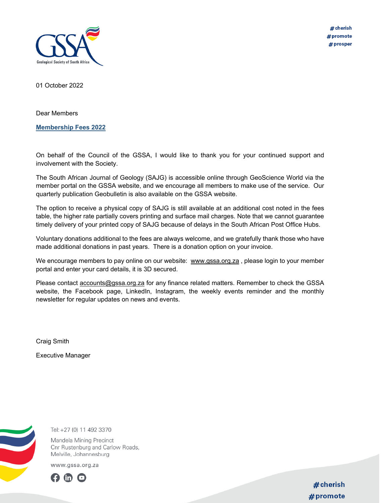

# cherish #promote # prosper

01 October 2022

Dear Members

**Membership Fees 2022** 

On behalf of the Council of the GSSA, I would like to thank you for your continued support and involvement with the Society.

The South African Journal of Geology (SAJG) is accessible online through GeoScience World via the member portal on the GSSA website, and we encourage all members to make use of the service. Our quarterly publication Geobulletin is also available on the GSSA website.

The option to receive a physical copy of SAJG is still available at an additional cost noted in the fees table, the higher rate partially covers printing and surface mail charges. Note that we cannot guarantee timely delivery of your printed copy of SAJG because of delays in the South African Post Office Hubs.

Voluntary donations additional to the fees are always welcome, and we gratefully thank those who have made additional donations in past years. There is a donation option on your invoice.

We encourage members to pay online on our website: www.gssa.org.za, please login to your member portal and enter your card details, it is 3D secured.

Please contact accounts@gssa.org.za for any finance related matters. Remember to check the GSSA website, the Facebook page, LinkedIn, Instagram, the weekly events reminder and the monthly newsletter for regular updates on news and events.

Craig Smith

Executive Manager



Tel: +27 (0) 11 492 3370

Mandela Mining Precinct Cnr Rustenburg and Carlow Roads, Melville, Johannesburg

www.gssa.org.za



# cherish  $#$  promote